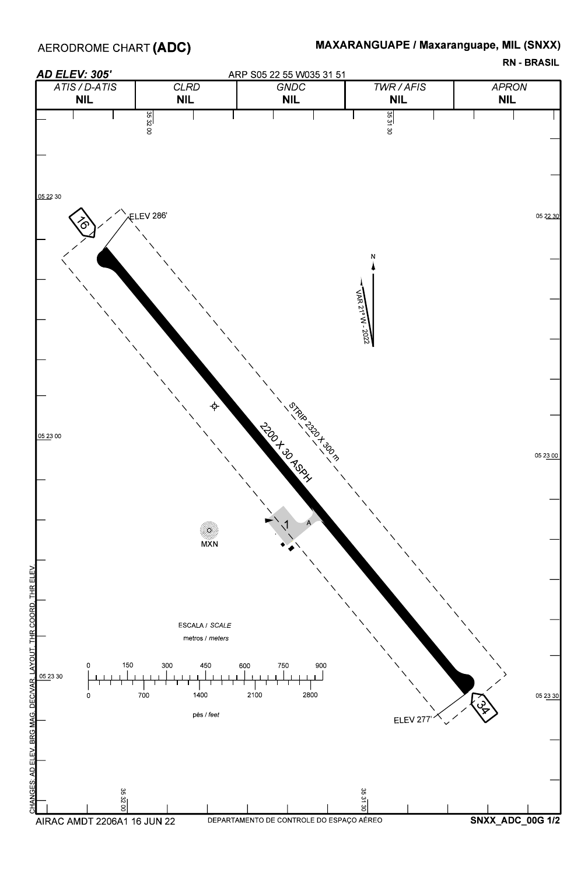

## MAXARANGUAPE / Maxaranguape, MIL (SNXX)

RN - BRASIL